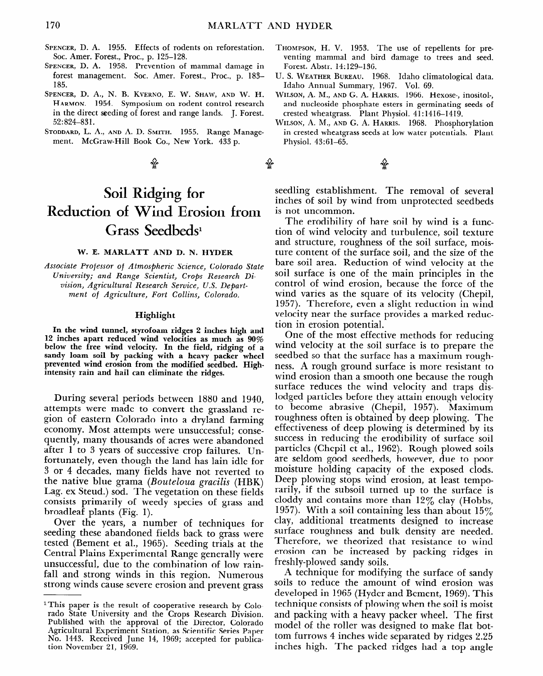# **Soil Ridging for Reduction of Wind Erosion from**  Grass Seedbeds<sup>1</sup>

## **W. E. MARLATT AND D. N. HYDER**

*Associate Professor of Atmospheric Science, Colorado State University; and Range Scientist, Crops Research Division, Agricultural Research Service, U.S. Department* **of** *Agriculture, Fort Collins, Colorado.* 

## **Highlight**

10 <sup>-</sup> **In the wind tunnel, Styrofoam ridges 2 inches high and inches apart reduced wind velocities as much as 90% below the free wind velocity. In the field, ridging of a sandy loam soil by packing with a heavy packer wheel**  prevented wind we facture with a heavy packer wheel **intensity rain and hail can eliminate the ridges.** 

During several periods between 1880 and 1940, attempts were made to convert the grassland region of eastern Colorado into a dryland farming  $\epsilon$ <sup>on</sup> or case in colorado into a diviante iamini<sub>g</sub> economy, most attempts were unsuccessian, const quently, many thousands of acres were abandoned<br>after 1 to 3 years of successive crop failures. Un $f_{\text{inter}}$  to  $\sigma$  years of successive crop failures. Off- $\frac{3}{2}$  or  $\frac{4}{2}$  decay, even though the failurias faill fulle for  $3$  or 4 decades, many fields have not reverted to the native blue grama (Bouteloua gracilis (HBK) Lag. ex Steud.) sod. The vegetation on these fields consists primarily of weedy species of grass and<br>broadleaf plants (Fig. 1).  $\alpha$ uncal plains (Fig. 1).

See the years, a number of techniques for seeding these abandoned fields back to grass were tested (Bement et al., 1965). Seeding trials at the Central Plains Experimental Range generally were unsuccessful, due to the combination of low rainfall and strong winds in this region. Numerous strong winds cause severe erosion and prevent grass

1 This paper is the result of cooperative result of cooperative results of cooperative results in the results of cooperative results in the results of cooperative results in the cooperative results in the cooperative resul

seedling establishment. The removal of several inches of soil by wind from unprotected seedbeds is not uncommon.

The erodibility of bare soil by wind is a function of wind velocity and turbulence, soil texture and structure, roughness of the soil surface, moisture content of the surface soil, and the size of the bare soil area. Reduction of wind velocity at the soil surface is one of the main principles in the control of wind erosion, because the force of the wind varies as the square of its velocity (Chepil, 1957). Therefore, even a slight reduction in wind velocity near the surface provides a marked reduction in erosion potential.

One of the most effective methods for reducing wind velocity at the soil surface is to prepare the seedbed so that the surface has a maximum roughness. A rough ground surface is more resistant to wind erosion than a smooth one because the rough surface reduces the wind velocity and traps dislodged particles before they attain enough velocity to become abrasive (Chepil, 1957). Maximum roughness often is obtained by deep plowing. The effectiveness of deep plowing is determined by its succession acceptioning is accentified by its particles in reducing the croupinty of surface soil particles (Chepil et al., 1962). Rough plowed soils are seldom good seedbeds, however, due to poor are serious good securities, nowever, the to poor moisture notaing capacity of the exposed clous Deep plowing stops wind erosion, at least temporarily, if the subsoil turned up to the surface is cloddy and contains more than  $12\%$  clay (Hobbs, 1957). With a soil containing less than about  $15\%$ clay, additional treatments designed to increase surface roughness and bulk density are needed. Therefore, we theorized that resistance to wind erosion can be increased by packing ridges in freshly-plowed sandy soils.

A technique for modifying the surface of sandy soils to reduce the amount of wind erosion was developed in 1965 (Hyder and Bement, 1969). This technique consists of plowing when the soil is moist and packing with a heavy packer wheel. The first model of the roller was designed to make flat bottom furrows 4 inches wide separated by ridges 2.25 inches high. The packed ridges had a top angle

<sup>&</sup>lt;sup>1</sup>This paper is the result of cooperative research by Colorado State University and the Crops Research Division. Published with the approval of the Director, Colorado Agricultural Experiment Station, as Scientific Series Paper No. 1443. Received June 14, 1969; accepted for publication November 21, 1969.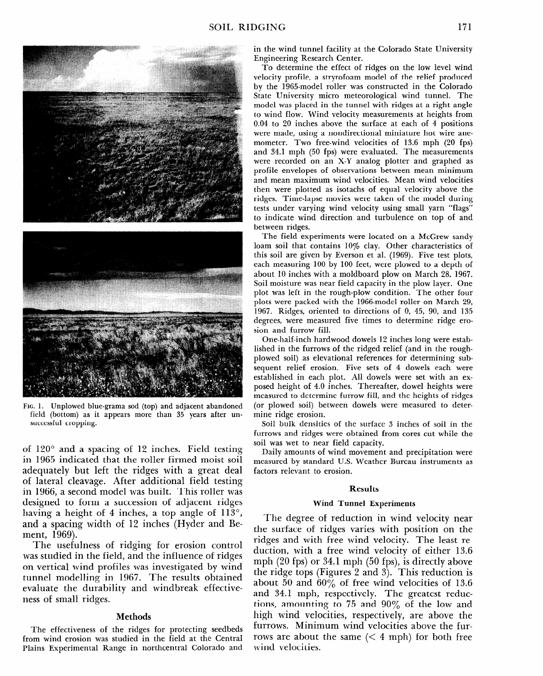

FIG. 1. Unplowed blue-grama sod (top) and adjacent abandoned field (bottom) as it appears more than 35 years after unsuccessful cropping.

of  $120^\circ$  and a spacing of 12 inches. Field testing in 1965 indicated that the roller firmed moist soil adequately but left the ridges with a great deal of lateral cleavage. After additional field testing of faither the and additional field testing. in 1966, a second model was built. This roller was designed to form a succession of adjacent ridges having a height of angle of the top angle of 1130, and the top and the top and the top and the top and the top and the top and the top and the top and the top and the top and the top and the top and the top and the top and  $\frac{1}{2}$  a neight of  $\pm$  inches, a top angle of 113 and a spacing width of 12 inches (Hyder and Be-<br>ment, 1969). The usefulness of ridging for erosion control

rue usefulness of flughig for crostoff collector was studied in the field, and the influence of ridges<br>on vertical wind profiles was investigated by wind on vertual wind profiles was investigated by win  $\mu$  and  $\mu$  and  $\mu$  and  $\mu$  and  $\mu$  and  $\mu$  and  $\mu$  and  $\mu$ evaluate the durability and windbreak effectiveness of small ridges.

# Methods

The effectiveness of the ridges for protecting seedbeds **from the effectiveness of the ridges for protecting seedbed** from wind erosion was studied in the field at the Central<br>Plains Experimental Range in northcentral Colorado and in the wind tunnel facility at the Colorado State University Engineering Research Center.

To determine the effect of ridges on the low level wind velocity profile, a stryrofoam model of the relief produced by the 1965-model roller was constructed in the Colorado State University micro meteorological wind tunnel. The model was placed in the tunnel with ridges at a right angle to wind flow. Wind velocity measurements at heights from 0.04 to 20 inches above the surface at each of 4 positions were made, using a nondirectional miniature hot wire anemometer. Two free-wind velocities of 13.6 mph (20 fps) and 34.1 mph (50 fps) were evaluated. The measurements were recorded on an X-Y analog plotter and graphed as profile envelopes of observations between mean minimum and mean maximum wind velocities. Mean wind velocities then were plotted as isotachs of equal velocity above the ridges. Time-lapse movies were taken of the model during tests under varying wind velocity using small yarn "flags" to indicate wind direction and turbulence on top of and between ridges.

The field experiments were located on a McGrew sandy loam soil that contains 10% clay. Other characteristics of this soil are given by Everson et al. (1969). Five test plots, each measuring 100 by 100 feet, were plowed to a depth of about 10 inches with a moldboard plow on March 28, 1967. Soil moisture was near field capacity in the plow layer. One plot was left in the rough-plow condition. The other four plots were packed with the 1966-model roller on March 29, 1967. Ridges, oriented to directions of 0, 45, 90, and 135 degrees, were measured five times to determine ridge erosion and furrow fill.

One-half-inch hardwood dowels 12 inches long were established in the furrows of the ridged relief (and in the roughplowed soil) as elevational references for determining subsequent relief erosion. Five sets of 4 dowels each were established in each plot. All dowels were set with an exposed height of 4.0 inches. Thereafter, dowel heights were posed heights of no mencer and determine furrow fill (or plowered software surrow may and the neighbor of rings (or plowed soil) between dowels were measured to deter-<br>mine ridge erosion.

Soil bulk densities of the surface 3 inches of soil in the furrows and ridges were obtained from cores cut while the soil was wet to near field capacity.  $\sum_{i=1}^{n}$  and  $\sum_{i=1}^{n}$  and  $\sum_{i=1}^{n}$  and  $\sum_{i=1}^{n}$  and  $\sum_{i=1}^{n}$  and  $\sum_{i=1}^{n}$  and  $\sum_{i=1}^{n}$  and  $\sum_{i=1}^{n}$  and  $\sum_{i=1}^{n}$  and  $\sum_{i=1}^{n}$  and  $\sum_{i=1}^{n}$  and  $\sum_{i=1}^{n}$  and  $\sum_{i=1}^{n}$  and

wany amounts of wind movement and precipitation were measured by standard U.S. Weather Burcau instruments as factors relevant to erosion.

#### Results

## **Wind Tunnel Experiments**

The degree of reduction in wind velocity near the acque of reduction in with velocity field the surface of ridges varies with position on the ridges and with free wind velocity. The least reduction, with a free wind velocity of either 13.6 mph  $(20$  fps) or 34.1 mph  $(50$  fps), is directly above the ridge tops (Figures 2 and 3). This reduction is about 50 and 60% of free wind velocities of 13.6 and 34.1 mph, respectively. The greatest reductions, amounting to 75 and  $90\%$  of the low and high wind velocities, respectively, are above the furrows. Minimum wind velocities above the furrows are about the same  $(< 4$  mph) for both free wind velocities.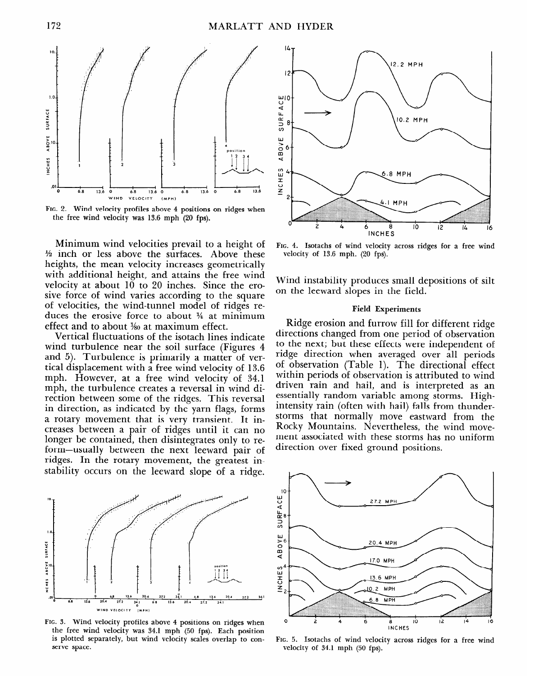

**FIG. 2. Wind velocity profiles above 4 positions on ridges when the free wind velocity was 13.6 mph (20 fps).** 

Minimum wind velocities prevail to a height of  $\frac{1}{2}$  inch or less above the surfaces. Above these heights, the mean velocity increases geometrically with additional height, and attains the free wind velocity at about 10 to 20 inches. Since the erosive force of wind varies according to the square of velocities, the wind-tunnel model of ridges reduces the erosive force to about  $\frac{1}{4}$  at minimum effect and to about  $\frac{1}{20}$  at maximum effect.

Vertical fluctuations of the isotach lines indicate wind turbulence near the soil surface (Figures 4 and 5). Turbulence is primarily a matter of vertical displacement with a free wind velocity of 13.6 mph. However, at a free wind velocity of 34.1 mph, the turbulence creates a reversal in wind direction between some of the ridges. This reversal in direction, as indicated by the yarn flags, forms a rotary movement that is very transient. It increases between a pair of ridges until it can no longer between a pair of flages until it can in forme the community, then usually all sources only to rerothe asially between the field feeward pair of stages. In the lotaly movement, the greatest in



FIG. 3. Wind velocity profiles above 4 positions on ridges when the free wind velocity was 34.1 mph (50 fps). Each position is plotted separately, but wind velocity scales overlap to conserve space.



**FIG. 4. Isotachs of wind velocity across ridges for a free wind velocity of 13.6 mph. (20 fps).** 

Wind instability produces small depositions of silt on the leeward slopes in the field.

# **Field Experiments**

Ridge erosion and furrow fill for different ridge directions changed from one period of observation to the next; but these effects were independent of ridge direction when averaged over all periods of observation (Table 1). The directional effect or observation (xabie 1). The antectional criteri menting periods of observation is attributed to wind driven rain and hail, and is interpreted as an<br>essentially random variable among storms. Highintensity rain (often with hail) falls from thunderstorms that normally move eastward from the Rocky Mountains. Nevertheless, the wind movemont associated with the storms has no unit the storms has no unit the storms has no unit the storms has no unit ment associated with these storms has no uniform<br>direction over fixed ground positions.



**v. 5. Isotachs of wind veloci** velocity of 34.1 mph (50 fps).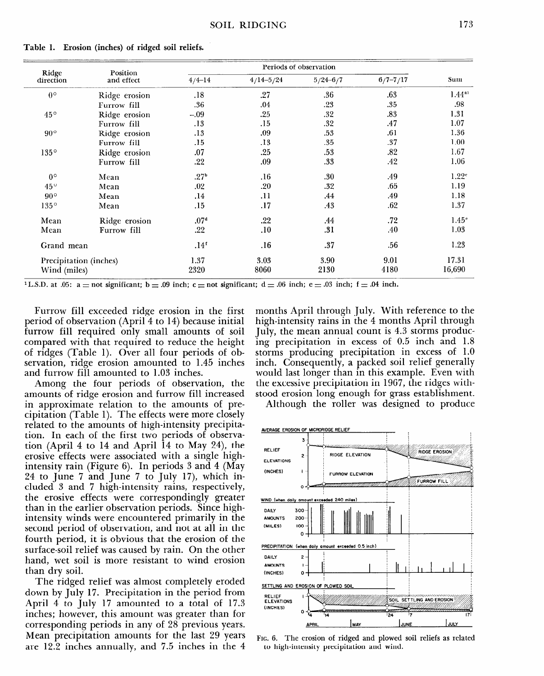| Ridge<br>direction     | Position<br>and effect | Periods of observation |               |              |              |                   |
|------------------------|------------------------|------------------------|---------------|--------------|--------------|-------------------|
|                        |                        | $4/4 - 14$             | $4/14 - 5/24$ | $5/24 - 6/7$ | $6/7 - 7/17$ | Sum               |
| $0^{\circ}$            | Ridge erosion          | .18                    | .27           | .36          | .63          | $1.44^{a_1}$      |
|                        | Furrow fill            | .36                    | .04           | .23          | .35          | .98               |
| $45^{\circ}$           | Ridge erosion          | $-.09$                 | .25           | .32          | .83          | 1.31              |
|                        | Furrow fill            | .13                    | .15           | .32          | .47          | 1.07              |
| $90^{\circ}$           | Ridge erosion          | .13                    | .09           | .53          | .61          | 1.36              |
|                        | Furrow fill            | .15                    | .13           | .35          | .37          | 1.00              |
| $135^\circ$            | Ridge erosion          | .07                    | .25           | .53          | .82          | 1.67              |
|                        | Furrow fill            | .22                    | .09           | .33          | .42          | 1.06              |
| $0^{\circ}$            | Mean                   | $.27^{\rm b}$          | .16           | .30          | .49          | 1.22 <sup>c</sup> |
| $45^{\circ}$           | Mean                   | .02                    | .20           | .32          | .65          | 1.19              |
| $90^{\circ}$           | Mean                   | .14                    | .11           | .44          | .49          | 1.18              |
| $135^\circ$            | Mean                   | .15                    | .17           | .43          | .62          | 1.37              |
| Mean                   | Ridge erosion          | .07 <sup>d</sup>       | .22           | .44          | .72          | 1.45 <sup>e</sup> |
| Mean                   | Furrow fill            | .22                    | .10           | .31          | .40          | 1.03              |
| Grand mean             |                        | .14 <sup>t</sup>       | .16           | .37          | .56          | 1.23              |
| Precipitation (inches) |                        | 1.37                   | 3.03          | 3.90         | 9.01         | 17.31             |
| Wind (miles)           |                        | 2320                   | 8060          | 2130         | 4180         | 16,690            |

**Table 1. Erosion (inches) of ridged soil reliefs.** 

<sup>1</sup>L.S.D. at .05: a = not significant; b = .09 inch; c = not significant; d = .06 inch; e = .03 inch; f = .04 inch.

Furrow fill exceeded ridge erosion in the first period of observation (April 4 to 14) because initial furrow fill required only small amounts of soil compared with that required to reduce the height of ridges (Table 1). Over all four periods of observation, ridge erosion amounted to 1.45 inches and furrow fill amounted to 1.03 inches.

Among the four periods of observation, the amounts of ridge erosion and furrow fill increased in approximate relation to the amounts of precipitation (Table 1). The effects were more closely related to the amounts of high-intensity precipitation. In each of the first two periods of observation (April 4 to 14 and April 14 to May 24), the erosive effects were associated with a single high $i_{\text{ref}}$  rain (Figure 6). In periods 3 and 4 (May  $\frac{1}{2}$  and  $\frac{1}{2}$  and  $\frac{1}{2}$  and  $\frac{1}{2}$  and  $\frac{1}{2}$  and  $\frac{1}{2}$  and  $\frac{1}{2}$  and  $\frac{1}{2}$  and  $\frac{1}{2}$  and  $\frac{1}{2}$  and  $\frac{1}{2}$  and  $\frac{1}{2}$  and  $\frac{1}{2}$  and  $\frac{1}{2}$  and  $\frac{1}{2}$  and  $\frac{1}{2}$  a 24 to June 7 and June 7 to July 17), which included  $\beta$  and  $\gamma$  high-intensity rains, respectively, the erosive effects were correspondingly greater than in the earlier observation periods. Since highintensity winds were encountered primarily in the second period of observation, and not at all in the fourth period, it is obvious that the erosion of the surface-soil relief was caused by rain. On the other hand, wet soil is more resistant to wind erosion than dry soil.  $T$  ridged relief was almost complete was almost complete was almost complete  $T$ 

I'D I'D THE HURTHARD AND ANNUAL COMPLETE PERSONAL FROM THE PERSONAL FROM THE PERSONAL FROM THE PERSONAL FROM THE PERSONAL FROM THE PERSONAL FROM THE PERSONAL FROM THE PERSONAL FROM THE PERSONAL FROM THE PERSONAL FROM THE P down by July 17. Precipitation in the period from April 4 to July 17 amounted to a total of 17.3 inches; however, this amount was greater than for corresponding periods in any of 28 previous years. Mean precipitation amounts for the last 29 years<br>are 12.2 inches annually, and 7.5 inches in the 4

months April through July. With reference to the high-intensity rains in the 4 months April through July, the mean annual count is 4.3 storms producing precipitation in excess of 0.5 inch and 1.8 storms producing precipitation in excess of 1.0 inch. Consequently, a packed soil relief generally would last longer than in this example. Even with the excessive precipitation in 1967, the ridges withstood erosion long enough for grass establishment.

Although the roller was designed to produce



to is the erosion of ridged and plowed. to high-intensity precipitation and wind.